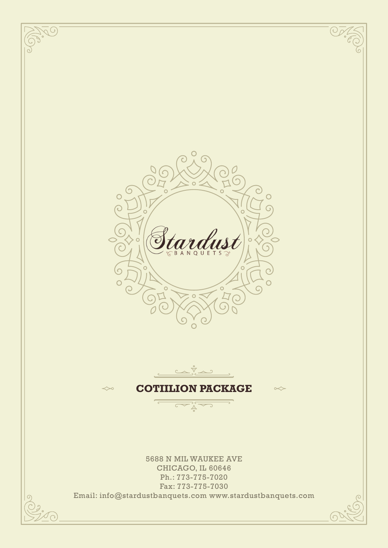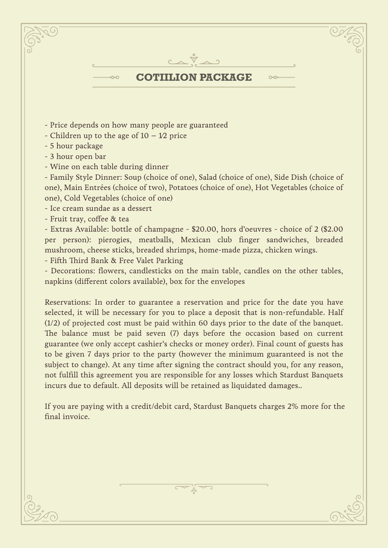

- Price depends on how many people are guaranteed
- Children up to the age of  $10 1/2$  price
- 5 hour package
- 3 hour open bar
- Wine on each table during dinner

- Family Style Dinner: Soup (choice of one), Salad (choice of one), Side Dish (choice of one), Main Entrées (choice of two), Potatoes (choice of one), Hot Vegetables (choice of one), Cold Vegetables (choice of one)

- Ice cream sundae as a dessert

- Fruit tray, coffee & tea

- Extras Available: bottle of champagne - \$20.00, hors d'oeuvres - choice of 2 (\$2.00 per person): pierogies, meatballs, Mexican club finger sandwiches, breaded mushroom, cheese sticks, breaded shrimps, home-made pizza, chicken wings.

- Fifth Third Bank & Free Valet Parking

- Decorations: flowers, candlesticks on the main table, candles on the other tables, napkins (different colors available), box for the envelopes

Reservations: In order to guarantee a reservation and price for the date you have selected, it will be necessary for you to place a deposit that is non-refundable. Half (1/2) of projected cost must be paid within 60 days prior to the date of the banquet. The balance must be paid seven (7) days before the occasion based on current guarantee (we only accept cashier's checks or money order). Final count of guests has to be given 7 days prior to the party (however the minimum guaranteed is not the subject to change). At any time after signing the contract should you, for any reason, not fulfill this agreement you are responsible for any losses which Stardust Banquets incurs due to default. All deposits will be retained as liquidated damages..

If you are paying with a credit/debit card, Stardust Banquets charges 2% more for the final invoice.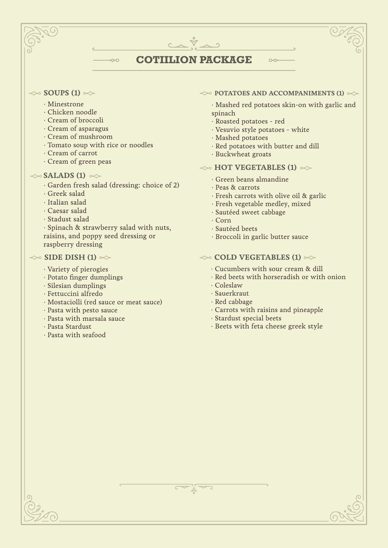# **COTIILION PACKAGE**

## $\ll$  **SOUPS (1)**  $\ll$

- · Minestrone
- · Chicken noodle
- · Cream of broccoli
- · Cream of asparagus
- · Cream of mushroom
- · Tomato soup with rice or noodles
- · Cream of carrot
- · Cream of green peas

# $\ll$ SALADS (1)  $\ll$

· Garden fresh salad (dressing: choice of 2)

 $\sim$ 

- · Greek salad
- · Italian salad
- · Caesar salad
- · Stadust salad

· Spinach & strawberry salad with nuts, raisins, and poppy seed dressing or raspberry dressing

## $\gg$  **SIDE DISH (1)**  $\ll$

- · Variety of pierogies
- · Potato finger dumplings
- · Silesian dumplings
- · Fettuccini alfredo
- · Mostaciolli (red sauce or meat sauce)
- · Pasta with pesto sauce
- · Pasta with marsala sauce
- · Pasta Stardust
- · Pasta with seafood

### $\leftrightarrow$  **POTATOES AND ACCOMPANIMENTS (1)**  $\leftrightarrow$

 $\sim$ 

· Mashed red potatoes skin-on with garlic and spinach

- · Roasted potatoes red
- · Vesuvio style potatoes white
- · Mashed potatoes
- · Red potatoes with butter and dill
- · Buckwheat groats

# $\gg$  **HOT VEGETABLES (1)**  $\ll$

- · Green beans almandine
- · Peas & carrots
- · Fresh carrots with olive oil & garlic
- · Fresh vegetable medley, mixed
- · Sautéed sweet cabbage
- · Corn
- · Sautéed beets
- · Broccoli in garlic butter sauce

## $\leftrightarrow$  **COLD VEGETABLES (1)**  $\leftrightarrow$

- · Cucumbers with sour cream & dill
- · Red beets with horseradish or with onion
- · Coleslaw
- · Sauerkraut
- · Red cabbage
- · Carrots with raisins and pineapple
- · Stardust special beets
- · Beets with feta cheese greek style